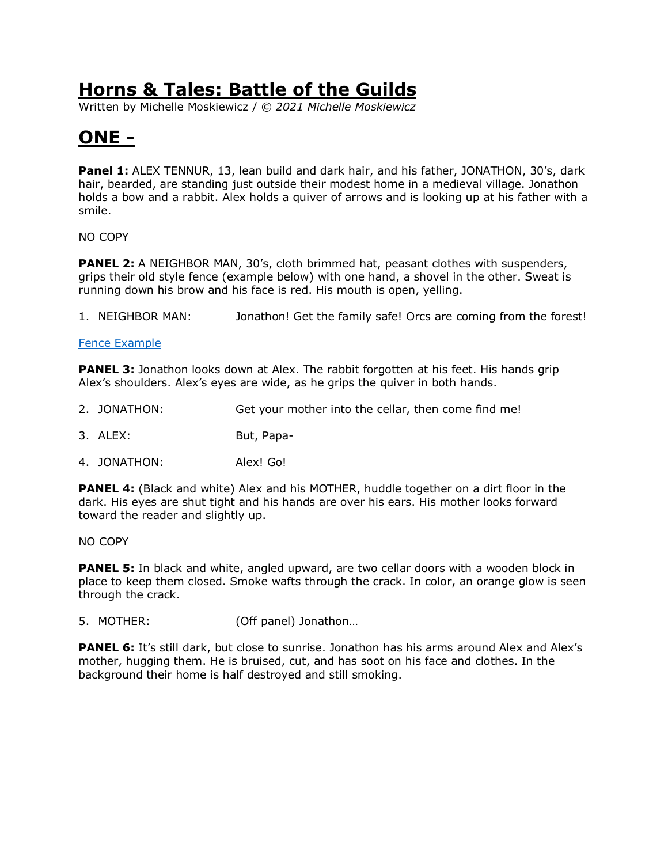Written by Michelle Moskiewicz / *© 2021 Michelle Moskiewicz*

# **ONE -**

**Panel 1:** ALEX TENNUR, 13, lean build and dark hair, and his father, JONATHON, 30's, dark hair, bearded, are standing just outside their modest home in a medieval village. Jonathon holds a bow and a rabbit. Alex holds a quiver of arrows and is looking up at his father with a smile.

NO COPY

**PANEL 2:** A NEIGHBOR MAN, 30's, cloth brimmed hat, peasant clothes with suspenders, grips their old style fence (example below) with one hand, a shovel in the other. Sweat is running down his brow and his face is red. His mouth is open, yelling.

1. NEIGHBOR MAN: Jonathon! Get the family safe! Orcs are coming from the forest!

#### [Fence Example](https://www.wildernessphotographs.com/images/xl/Old-Farm-Fence-Alder-Pond-Rd-Schroon-spring-2014_900px.jpg)

**PANEL 3:** Jonathon looks down at Alex. The rabbit forgotten at his feet. His hands grip Alex's shoulders. Alex's eyes are wide, as he grips the quiver in both hands.

- 2. JONATHON: Get your mother into the cellar, then come find me!
- 3. ALEX: But, Papa-
- 4. JONATHON: Alex! Go!

**PANEL 4:** (Black and white) Alex and his MOTHER, huddle together on a dirt floor in the dark. His eyes are shut tight and his hands are over his ears. His mother looks forward toward the reader and slightly up.

NO COPY

**PANEL 5:** In black and white, angled upward, are two cellar doors with a wooden block in place to keep them closed. Smoke wafts through the crack. In color, an orange glow is seen through the crack.

5. MOTHER: (Off panel) Jonathon…

**PANEL 6:** It's still dark, but close to sunrise. Jonathon has his arms around Alex and Alex's mother, hugging them. He is bruised, cut, and has soot on his face and clothes. In the background their home is half destroyed and still smoking.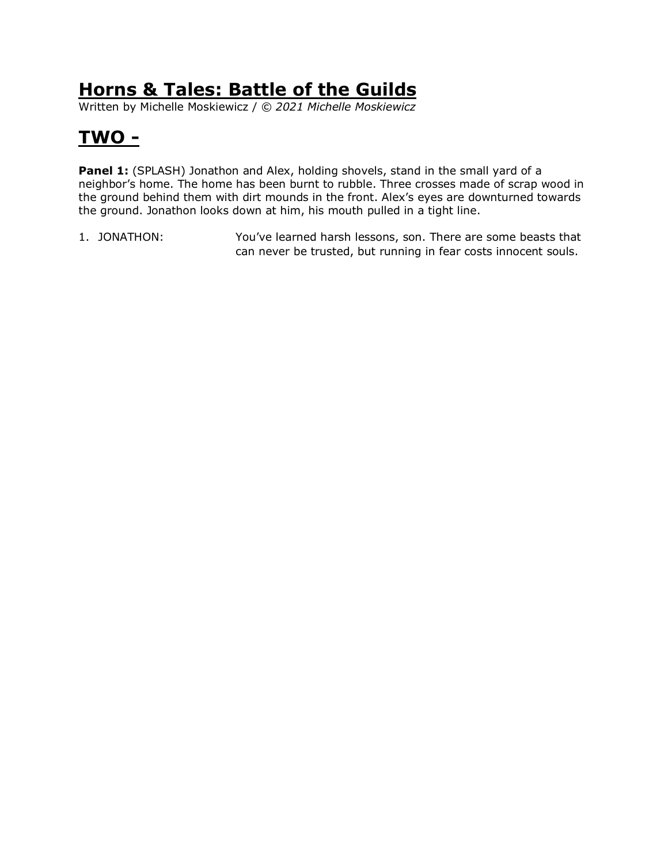Written by Michelle Moskiewicz / *© 2021 Michelle Moskiewicz*

# **TWO -**

**Panel 1:** (SPLASH) Jonathon and Alex, holding shovels, stand in the small yard of a neighbor's home. The home has been burnt to rubble. Three crosses made of scrap wood in the ground behind them with dirt mounds in the front. Alex's eyes are downturned towards the ground. Jonathon looks down at him, his mouth pulled in a tight line.

1. JONATHON: You've learned harsh lessons, son. There are some beasts that can never be trusted, but running in fear costs innocent souls.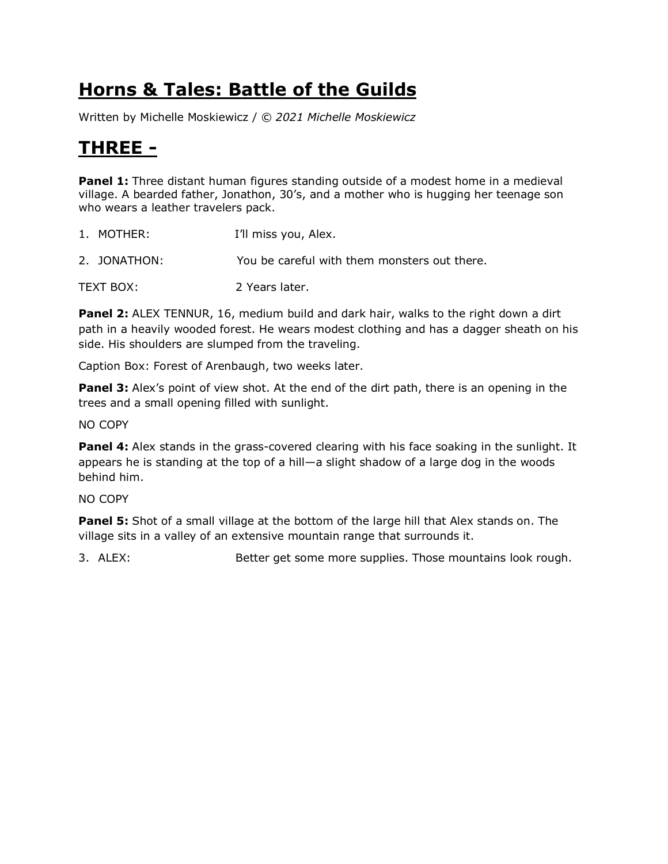Written by Michelle Moskiewicz / *© 2021 Michelle Moskiewicz*

## **THREE -**

**Panel 1:** Three distant human figures standing outside of a modest home in a medieval village. A bearded father, Jonathon, 30's, and a mother who is hugging her teenage son who wears a leather travelers pack.

| 1. MOTHER:   | I'll miss you, Alex.                         |
|--------------|----------------------------------------------|
| 2. JONATHON: | You be careful with them monsters out there. |
| TEXT BOX:    | 2 Years later.                               |

**Panel 2:** ALEX TENNUR, 16, medium build and dark hair, walks to the right down a dirt path in a heavily wooded forest. He wears modest clothing and has a dagger sheath on his side. His shoulders are slumped from the traveling.

Caption Box: Forest of Arenbaugh, two weeks later.

**Panel 3:** Alex's point of view shot. At the end of the dirt path, there is an opening in the trees and a small opening filled with sunlight.

NO COPY

**Panel 4:** Alex stands in the grass-covered clearing with his face soaking in the sunlight. It appears he is standing at the top of a hill—a slight shadow of a large dog in the woods behind him.

NO COPY

**Panel 5:** Shot of a small village at the bottom of the large hill that Alex stands on. The village sits in a valley of an extensive mountain range that surrounds it.

3. ALEX: Better get some more supplies. Those mountains look rough.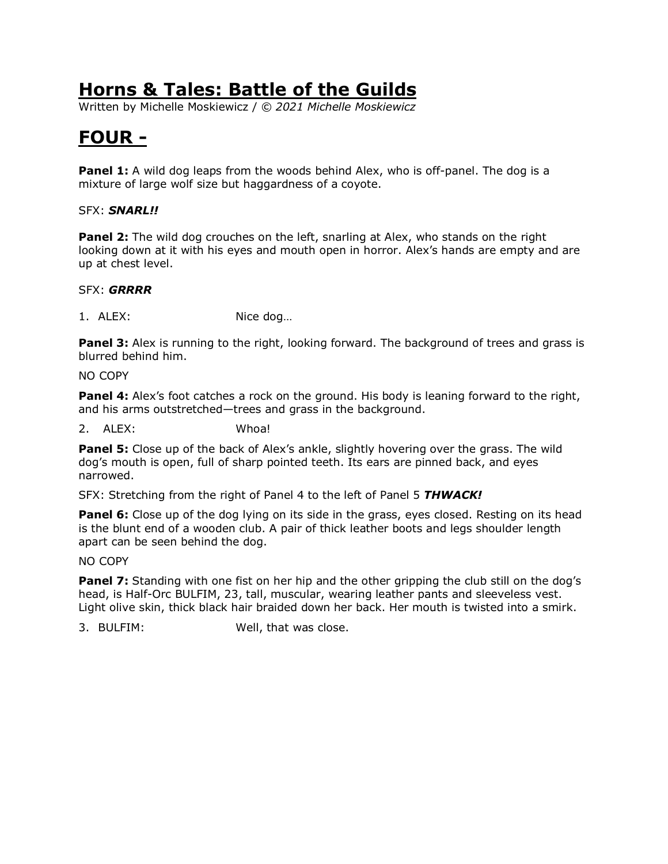Written by Michelle Moskiewicz / *© 2021 Michelle Moskiewicz*

# **FOUR -**

**Panel 1:** A wild dog leaps from the woods behind Alex, who is off-panel. The dog is a mixture of large wolf size but haggardness of a coyote.

#### SFX: *SNARL!!*

**Panel 2:** The wild dog crouches on the left, snarling at Alex, who stands on the right looking down at it with his eyes and mouth open in horror. Alex's hands are empty and are up at chest level.

#### SFX: *GRRRR*

1. ALEX: Nice dog…

**Panel 3:** Alex is running to the right, looking forward. The background of trees and grass is blurred behind him.

NO COPY

**Panel 4:** Alex's foot catches a rock on the ground. His body is leaning forward to the right, and his arms outstretched—trees and grass in the background.

2. ALEX: Whoa!

**Panel 5:** Close up of the back of Alex's ankle, slightly hovering over the grass. The wild dog's mouth is open, full of sharp pointed teeth. Its ears are pinned back, and eyes narrowed.

SFX: Stretching from the right of Panel 4 to the left of Panel 5 *THWACK!*

**Panel 6:** Close up of the dog lying on its side in the grass, eyes closed. Resting on its head is the blunt end of a wooden club. A pair of thick leather boots and legs shoulder length apart can be seen behind the dog.

NO COPY

**Panel 7:** Standing with one fist on her hip and the other gripping the club still on the dog's head, is Half-Orc BULFIM, 23, tall, muscular, wearing leather pants and sleeveless vest. Light olive skin, thick black hair braided down her back. Her mouth is twisted into a smirk.

3. BULFIM: Well, that was close.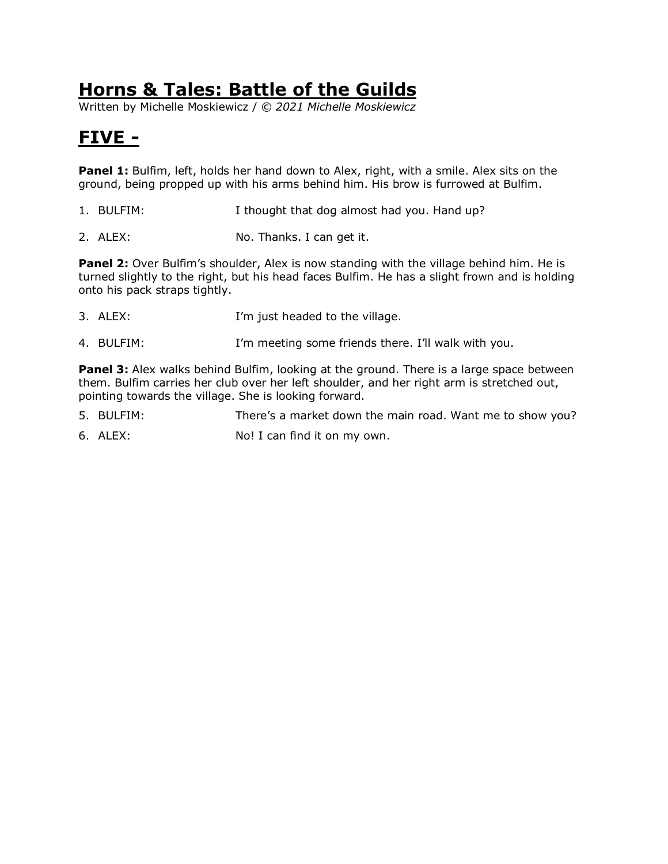Written by Michelle Moskiewicz / *© 2021 Michelle Moskiewicz*

# **FIVE -**

Panel 1: Bulfim, left, holds her hand down to Alex, right, with a smile. Alex sits on the ground, being propped up with his arms behind him. His brow is furrowed at Bulfim.

- 1. BULFIM: I thought that dog almost had you. Hand up?
- 2. ALEX: No. Thanks. I can get it.

**Panel 2:** Over Bulfim's shoulder, Alex is now standing with the village behind him. He is turned slightly to the right, but his head faces Bulfim. He has a slight frown and is holding onto his pack straps tightly.

- 3. ALEX: I'm just headed to the village.
- 4. BULFIM: I'm meeting some friends there. I'll walk with you.

**Panel 3:** Alex walks behind Bulfim, looking at the ground. There is a large space between them. Bulfim carries her club over her left shoulder, and her right arm is stretched out, pointing towards the village. She is looking forward.

- 5. BULFIM: There's a market down the main road. Want me to show you?
- 6. ALEX: No! I can find it on my own.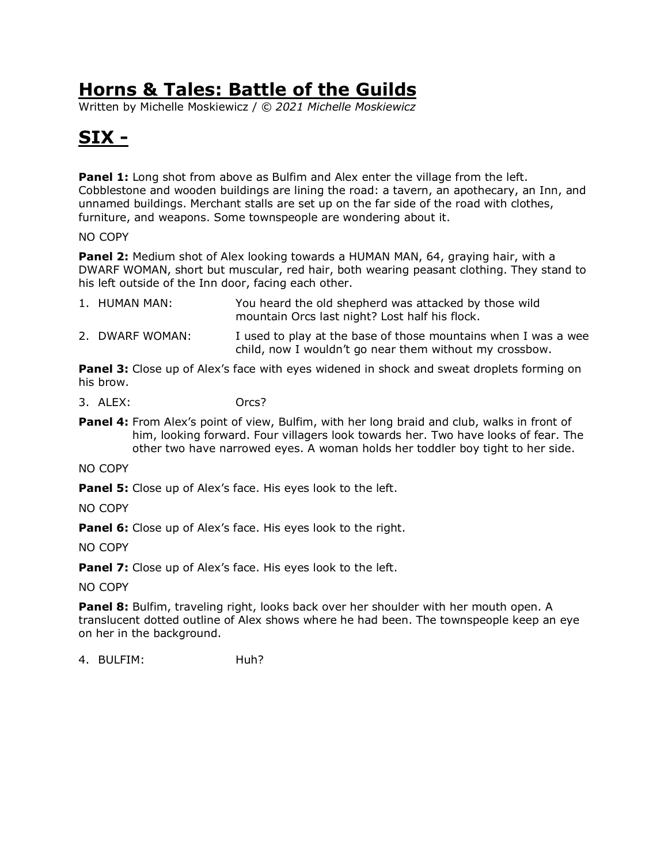Written by Michelle Moskiewicz / *© 2021 Michelle Moskiewicz*

# **SIX -**

**Panel 1:** Long shot from above as Bulfim and Alex enter the village from the left. Cobblestone and wooden buildings are lining the road: a tavern, an apothecary, an Inn, and unnamed buildings. Merchant stalls are set up on the far side of the road with clothes, furniture, and weapons. Some townspeople are wondering about it.

NO COPY

**Panel 2:** Medium shot of Alex looking towards a HUMAN MAN, 64, graying hair, with a DWARF WOMAN, short but muscular, red hair, both wearing peasant clothing. They stand to his left outside of the Inn door, facing each other.

| 1. HUMAN MAN:   | You heard the old shepherd was attacked by those wild<br>mountain Orcs last night? Lost half his flock. |
|-----------------|---------------------------------------------------------------------------------------------------------|
| 2. DWARF WOMAN: | I used to play at the base of those mountains when I was a wee                                          |

**Panel 3:** Close up of Alex's face with eyes widened in shock and sweat droplets forming on his brow.

child, now I wouldn't go near them without my crossbow.

3. ALEX: Orcs?

**Panel 4:** From Alex's point of view, Bulfim, with her long braid and club, walks in front of him, looking forward. Four villagers look towards her. Two have looks of fear. The other two have narrowed eyes. A woman holds her toddler boy tight to her side.

NO COPY

**Panel 5:** Close up of Alex's face. His eyes look to the left.

NO COPY

**Panel 6:** Close up of Alex's face. His eyes look to the right.

NO COPY

**Panel 7:** Close up of Alex's face. His eyes look to the left.

NO COPY

**Panel 8:** Bulfim, traveling right, looks back over her shoulder with her mouth open. A translucent dotted outline of Alex shows where he had been. The townspeople keep an eye on her in the background.

4. BULFIM: Huh?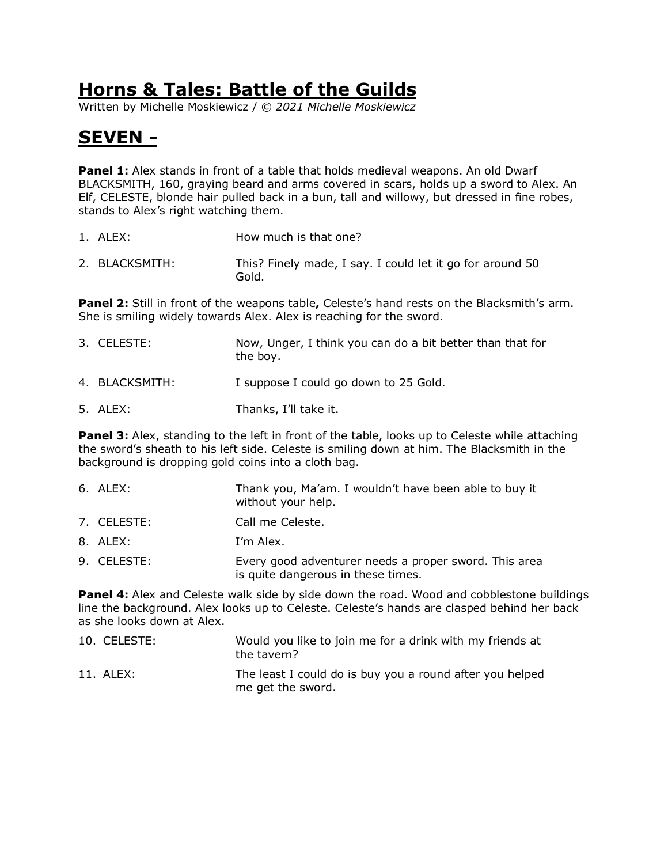Written by Michelle Moskiewicz / *© 2021 Michelle Moskiewicz*

# **SEVEN -**

**Panel 1:** Alex stands in front of a table that holds medieval weapons. An old Dwarf BLACKSMITH, 160, graying beard and arms covered in scars, holds up a sword to Alex. An Elf, CELESTE, blonde hair pulled back in a bun, tall and willowy, but dressed in fine robes, stands to Alex's right watching them.

- 1. ALEX: How much is that one?
- 2. BLACKSMITH: This? Finely made, I say. I could let it go for around 50 Gold.

**Panel 2:** Still in front of the weapons table**,** Celeste's hand rests on the Blacksmith's arm. She is smiling widely towards Alex. Alex is reaching for the sword.

| 3. CELESTE:    | Now, Unger, I think you can do a bit better than that for<br>the boy. |
|----------------|-----------------------------------------------------------------------|
| 4. BLACKSMITH: | I suppose I could go down to 25 Gold.                                 |
| 5. ALEX:       | Thanks, I'll take it.                                                 |

**Panel 3:** Alex, standing to the left in front of the table, looks up to Celeste while attaching the sword's sheath to his left side. Celeste is smiling down at him. The Blacksmith in the background is dropping gold coins into a cloth bag.

| 6. ALEX:    | Thank you, Ma'am. I wouldn't have been able to buy it<br>without your help.                 |
|-------------|---------------------------------------------------------------------------------------------|
| 7. CELESTE: | Call me Celeste.                                                                            |
| 8. ALEX:    | I'm Alex.                                                                                   |
| 9. CELESTE: | Every good adventurer needs a proper sword. This area<br>is quite dangerous in these times. |

**Panel 4:** Alex and Celeste walk side by side down the road. Wood and cobblestone buildings line the background. Alex looks up to Celeste. Celeste's hands are clasped behind her back as she looks down at Alex.

| 10. CELESTE: | Would you like to join me for a drink with my friends at<br>the tavern?       |
|--------------|-------------------------------------------------------------------------------|
| 11. ALEX:    | The least I could do is buy you a round after you helped<br>me get the sword. |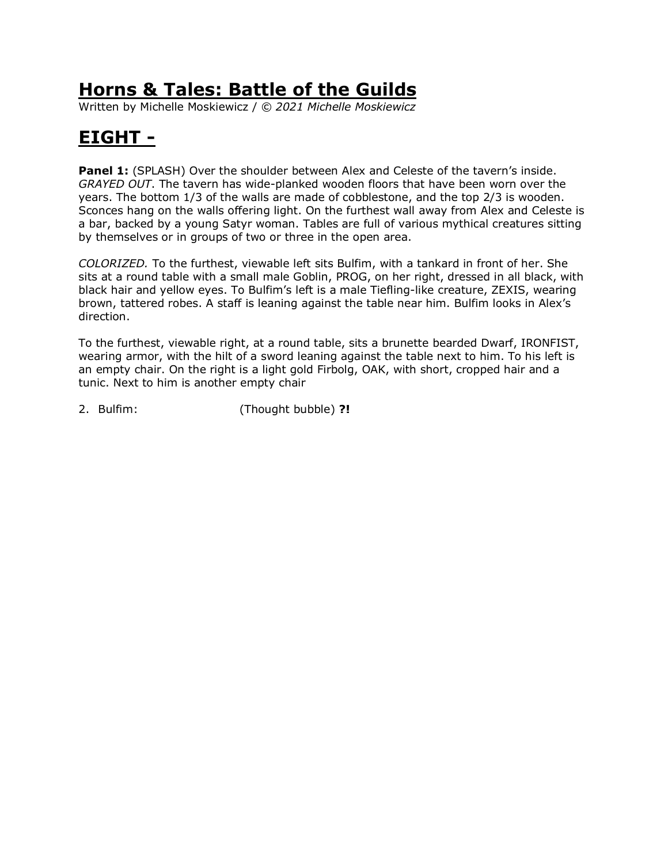Written by Michelle Moskiewicz / *© 2021 Michelle Moskiewicz*

# **EIGHT -**

**Panel 1:** (SPLASH) Over the shoulder between Alex and Celeste of the tavern's inside. *GRAYED OUT*. The tavern has wide-planked wooden floors that have been worn over the years. The bottom 1/3 of the walls are made of cobblestone, and the top 2/3 is wooden. Sconces hang on the walls offering light. On the furthest wall away from Alex and Celeste is a bar, backed by a young Satyr woman. Tables are full of various mythical creatures sitting by themselves or in groups of two or three in the open area.

*COLORIZED.* To the furthest, viewable left sits Bulfim, with a tankard in front of her. She sits at a round table with a small male Goblin, PROG, on her right, dressed in all black, with black hair and yellow eyes. To Bulfim's left is a male Tiefling-like creature, ZEXIS, wearing brown, tattered robes. A staff is leaning against the table near him. Bulfim looks in Alex's direction.

To the furthest, viewable right, at a round table, sits a brunette bearded Dwarf, IRONFIST, wearing armor, with the hilt of a sword leaning against the table next to him. To his left is an empty chair. On the right is a light gold Firbolg, OAK, with short, cropped hair and a tunic. Next to him is another empty chair

2. Bulfim: (Thought bubble) **?!**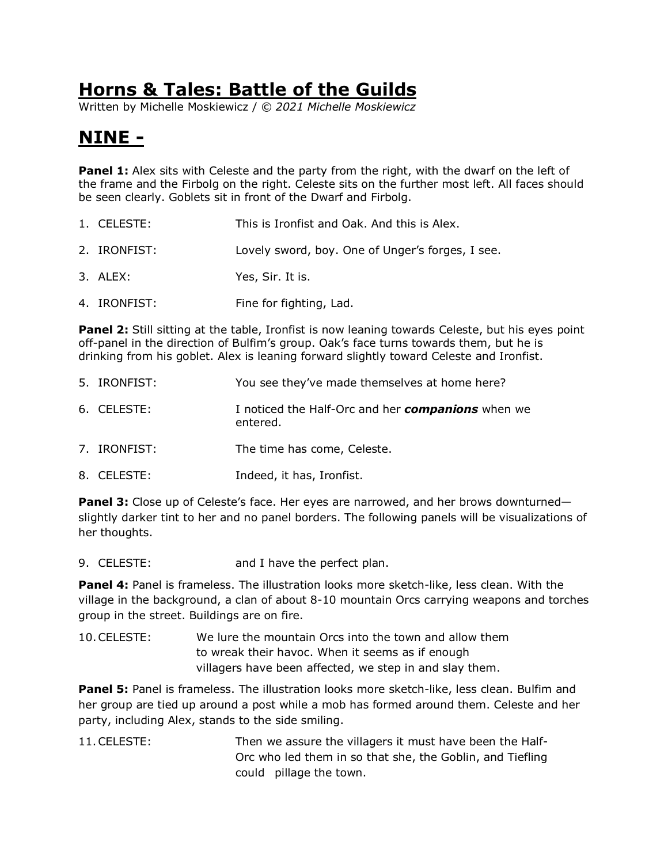Written by Michelle Moskiewicz / *© 2021 Michelle Moskiewicz*

# **NINE -**

**Panel 1:** Alex sits with Celeste and the party from the right, with the dwarf on the left of the frame and the Firbolg on the right. Celeste sits on the further most left. All faces should be seen clearly. Goblets sit in front of the Dwarf and Firbolg.

- 1. CELESTE: This is Ironfist and Oak. And this is Alex.
- 2. IRONFIST: Lovely sword, boy. One of Unger's forges, I see.
- 3. ALEX: Yes, Sir. It is.
- 4. IRONFIST: Fine for fighting, Lad.

**Panel 2:** Still sitting at the table, Ironfist is now leaning towards Celeste, but his eyes point off-panel in the direction of Bulfim's group. Oak's face turns towards them, but he is drinking from his goblet. Alex is leaning forward slightly toward Celeste and Ironfist.

- 5. IRONFIST: You see they've made themselves at home here?
- 6. CELESTE: I noticed the Half-Orc and her *companions* when we entered.
- 7. IRONFIST: The time has come, Celeste.
- 8. CELESTE: Indeed, it has, Ironfist.

**Panel 3:** Close up of Celeste's face. Her eyes are narrowed, and her brows downturned slightly darker tint to her and no panel borders. The following panels will be visualizations of her thoughts.

9. CELESTE: and I have the perfect plan.

**Panel 4:** Panel is frameless. The illustration looks more sketch-like, less clean. With the village in the background, a clan of about 8-10 mountain Orcs carrying weapons and torches group in the street. Buildings are on fire.

10.CELESTE: We lure the mountain Orcs into the town and allow them to wreak their havoc. When it seems as if enough villagers have been affected, we step in and slay them.

Panel 5: Panel is frameless. The illustration looks more sketch-like, less clean. Bulfim and her group are tied up around a post while a mob has formed around them. Celeste and her party, including Alex, stands to the side smiling.

11.CELESTE: Then we assure the villagers it must have been the Half-Orc who led them in so that she, the Goblin, and Tiefling could pillage the town.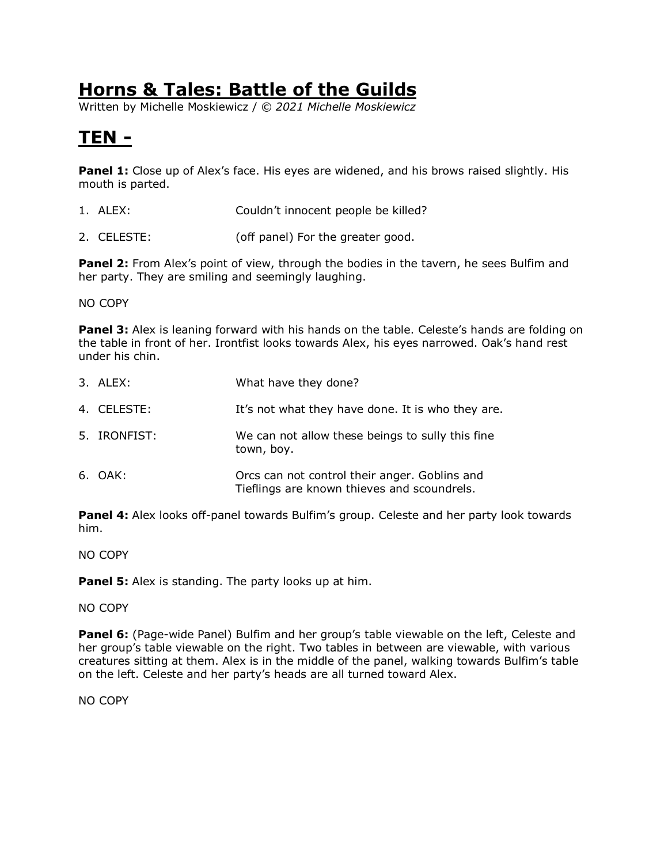Written by Michelle Moskiewicz / *© 2021 Michelle Moskiewicz*

# **TEN -**

**Panel 1:** Close up of Alex's face. His eyes are widened, and his brows raised slightly. His mouth is parted.

- 1. ALEX: Couldn't innocent people be killed?
- 2. CELESTE: (off panel) For the greater good.

**Panel 2:** From Alex's point of view, through the bodies in the tavern, he sees Bulfim and her party. They are smiling and seemingly laughing.

NO COPY

**Panel 3:** Alex is leaning forward with his hands on the table. Celeste's hands are folding on the table in front of her. Irontfist looks towards Alex, his eyes narrowed. Oak's hand rest under his chin.

| 3. ALEX:     | What have they done?                                                                         |
|--------------|----------------------------------------------------------------------------------------------|
| 4. CELESTE:  | It's not what they have done. It is who they are.                                            |
| 5. IRONFIST: | We can not allow these beings to sully this fine<br>town, boy.                               |
| 6. OAK:      | Orcs can not control their anger. Goblins and<br>Tieflings are known thieves and scoundrels. |

**Panel 4:** Alex looks off-panel towards Bulfim's group. Celeste and her party look towards him.

NO COPY

**Panel 5:** Alex is standing. The party looks up at him.

#### NO COPY

**Panel 6:** (Page-wide Panel) Bulfim and her group's table viewable on the left, Celeste and her group's table viewable on the right. Two tables in between are viewable, with various creatures sitting at them. Alex is in the middle of the panel, walking towards Bulfim's table on the left. Celeste and her party's heads are all turned toward Alex.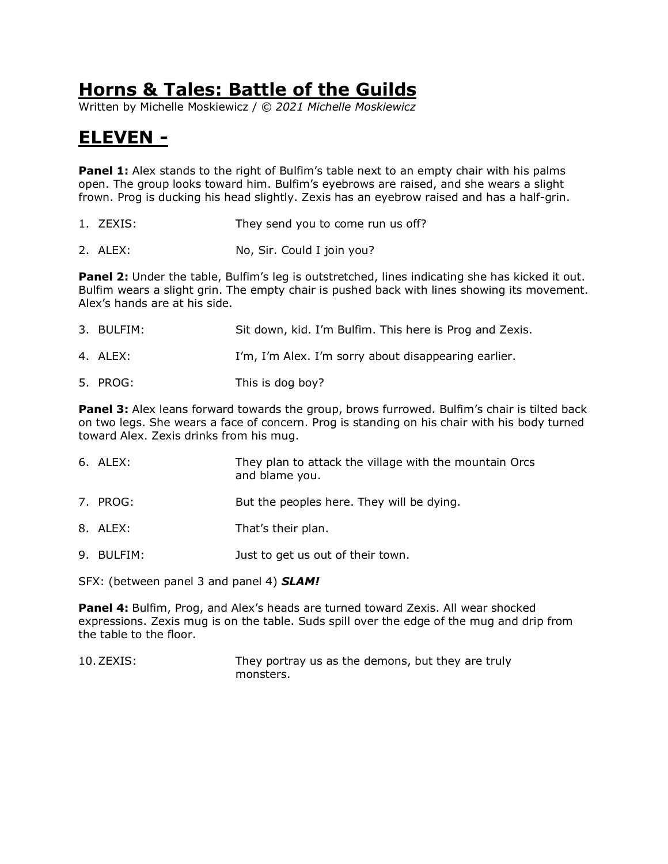Written by Michelle Moskiewicz / *© 2021 Michelle Moskiewicz*

## **ELEVEN -**

**Panel 1:** Alex stands to the right of Bulfim's table next to an empty chair with his palms open. The group looks toward him. Bulfim's eyebrows are raised, and she wears a slight frown. Prog is ducking his head slightly. Zexis has an eyebrow raised and has a half-grin.

- 1. ZEXIS: They send you to come run us off?
- 2. ALEX: No, Sir. Could I join you?

**Panel 2:** Under the table, Bulfim's leg is outstretched, lines indicating she has kicked it out. Bulfim wears a slight grin. The empty chair is pushed back with lines showing its movement. Alex's hands are at his side.

| 3. BULFIM: | Sit down, kid. I'm Bulfim. This here is Prog and Zexis. |
|------------|---------------------------------------------------------|
| 4. ALEX:   | I'm, I'm Alex. I'm sorry about disappearing earlier.    |
| 5. PROG:   | This is dog boy?                                        |

**Panel 3:** Alex leans forward towards the group, brows furrowed. Bulfim's chair is tilted back on two legs. She wears a face of concern. Prog is standing on his chair with his body turned toward Alex. Zexis drinks from his mug.

| 6. ALEX: | They plan to attack the village with the mountain Orcs<br>and blame you. |
|----------|--------------------------------------------------------------------------|
| 7. PROG: | But the peoples here. They will be dying.                                |
| 8. ALEX: | That's their plan.                                                       |

9. BULFIM: Just to get us out of their town.

SFX: (between panel 3 and panel 4) *SLAM!*

**Panel 4:** Bulfim, Prog, and Alex's heads are turned toward Zexis. All wear shocked expressions. Zexis mug is on the table. Suds spill over the edge of the mug and drip from the table to the floor.

10.ZEXIS: They portray us as the demons, but they are truly monsters.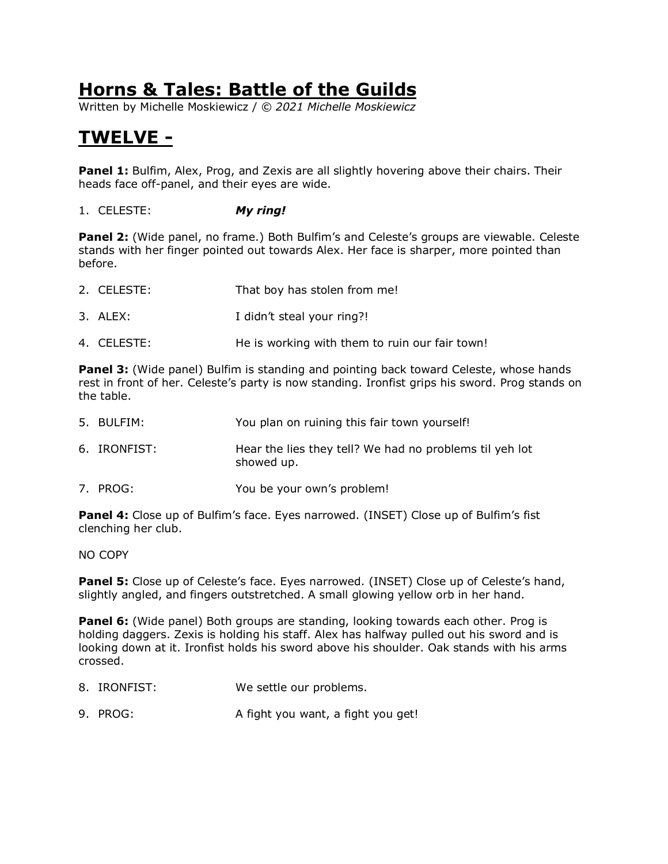Written by Michelle Moskiewicz / *© 2021 Michelle Moskiewicz*

# **TWELVE -**

**Panel 1:** Bulfim, Alex, Prog, and Zexis are all slightly hovering above their chairs. Their heads face off-panel, and their eyes are wide.

1. CELESTE: *My ring!*

**Panel 2:** (Wide panel, no frame.) Both Bulfim's and Celeste's groups are viewable. Celeste stands with her finger pointed out towards Alex. Her face is sharper, more pointed than before.

- 2. CELESTE: That boy has stolen from me!
- 3. ALEX: I didn't steal your ring?!
- 4. CELESTE: He is working with them to ruin our fair town!

**Panel 3:** (Wide panel) Bulfim is standing and pointing back toward Celeste, whose hands rest in front of her. Celeste's party is now standing. Ironfist grips his sword. Prog stands on the table.

| 5. BULFIM:   | You plan on ruining this fair town yourself!                          |
|--------------|-----------------------------------------------------------------------|
| 6. IRONFIST: | Hear the lies they tell? We had no problems til yeh lot<br>showed up. |
| 7. PROG:     | You be your own's problem!                                            |

Panel 4: Close up of Bulfim's face. Eyes narrowed. (INSET) Close up of Bulfim's fist clenching her club.

NO COPY

**Panel 5:** Close up of Celeste's face. Eyes narrowed. (INSET) Close up of Celeste's hand, slightly angled, and fingers outstretched. A small glowing yellow orb in her hand.

**Panel 6:** (Wide panel) Both groups are standing, looking towards each other. Prog is holding daggers. Zexis is holding his staff. Alex has halfway pulled out his sword and is looking down at it. Ironfist holds his sword above his shoulder. Oak stands with his arms crossed.

- 8. IRONFIST: We settle our problems.
- 9. PROG: A fight you want, a fight you get!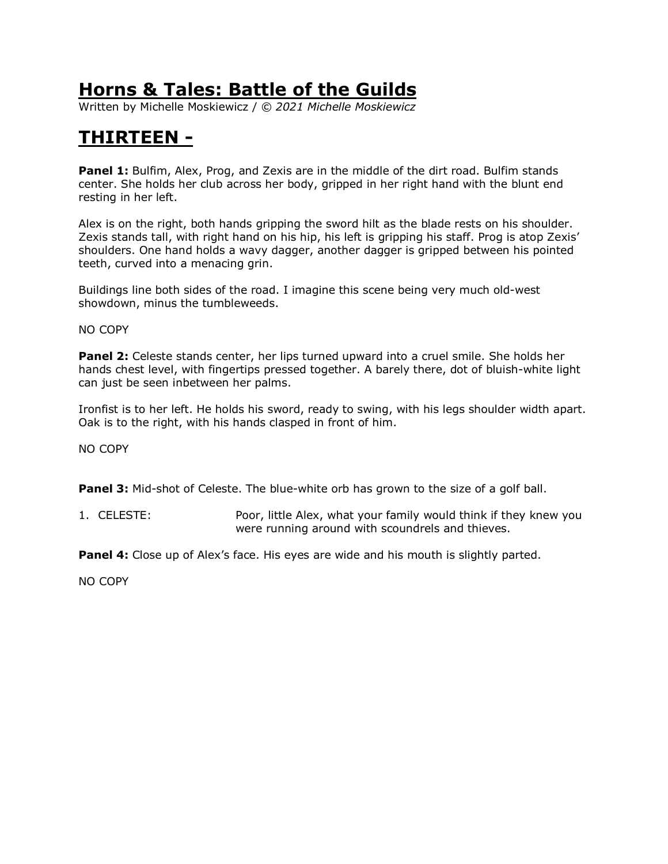Written by Michelle Moskiewicz / *© 2021 Michelle Moskiewicz*

# **THIRTEEN -**

**Panel 1:** Bulfim, Alex, Prog, and Zexis are in the middle of the dirt road. Bulfim stands center. She holds her club across her body, gripped in her right hand with the blunt end resting in her left.

Alex is on the right, both hands gripping the sword hilt as the blade rests on his shoulder. Zexis stands tall, with right hand on his hip, his left is gripping his staff. Prog is atop Zexis' shoulders. One hand holds a wavy dagger, another dagger is gripped between his pointed teeth, curved into a menacing grin.

Buildings line both sides of the road. I imagine this scene being very much old-west showdown, minus the tumbleweeds.

NO COPY

**Panel 2:** Celeste stands center, her lips turned upward into a cruel smile. She holds her hands chest level, with fingertips pressed together. A barely there, dot of bluish-white light can just be seen inbetween her palms.

Ironfist is to her left. He holds his sword, ready to swing, with his legs shoulder width apart. Oak is to the right, with his hands clasped in front of him.

NO COPY

**Panel 3:** Mid-shot of Celeste. The blue-white orb has grown to the size of a golf ball.

1. CELESTE: Poor, little Alex, what your family would think if they knew you were running around with scoundrels and thieves.

**Panel 4:** Close up of Alex's face. His eyes are wide and his mouth is slightly parted.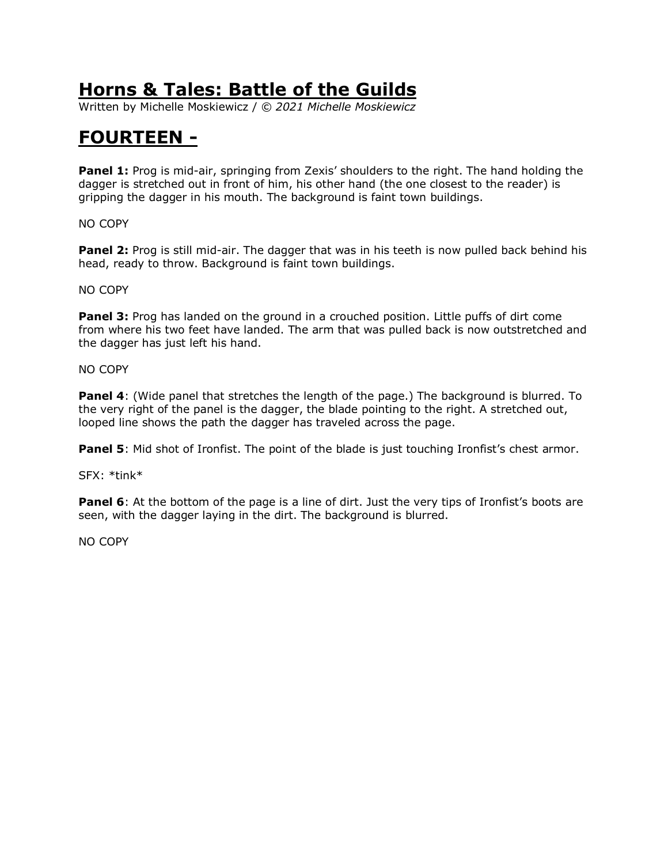Written by Michelle Moskiewicz / *© 2021 Michelle Moskiewicz*

#### **FOURTEEN -**

**Panel 1:** Prog is mid-air, springing from Zexis' shoulders to the right. The hand holding the dagger is stretched out in front of him, his other hand (the one closest to the reader) is gripping the dagger in his mouth. The background is faint town buildings.

NO COPY

**Panel 2:** Prog is still mid-air. The dagger that was in his teeth is now pulled back behind his head, ready to throw. Background is faint town buildings.

NO COPY

**Panel 3:** Prog has landed on the ground in a crouched position. Little puffs of dirt come from where his two feet have landed. The arm that was pulled back is now outstretched and the dagger has just left his hand.

NO COPY

**Panel 4**: (Wide panel that stretches the length of the page.) The background is blurred. To the very right of the panel is the dagger, the blade pointing to the right. A stretched out, looped line shows the path the dagger has traveled across the page.

**Panel 5**: Mid shot of Ironfist. The point of the blade is just touching Ironfist's chest armor.

SFX: \*tink\*

**Panel 6**: At the bottom of the page is a line of dirt. Just the very tips of Ironfist's boots are seen, with the dagger laying in the dirt. The background is blurred.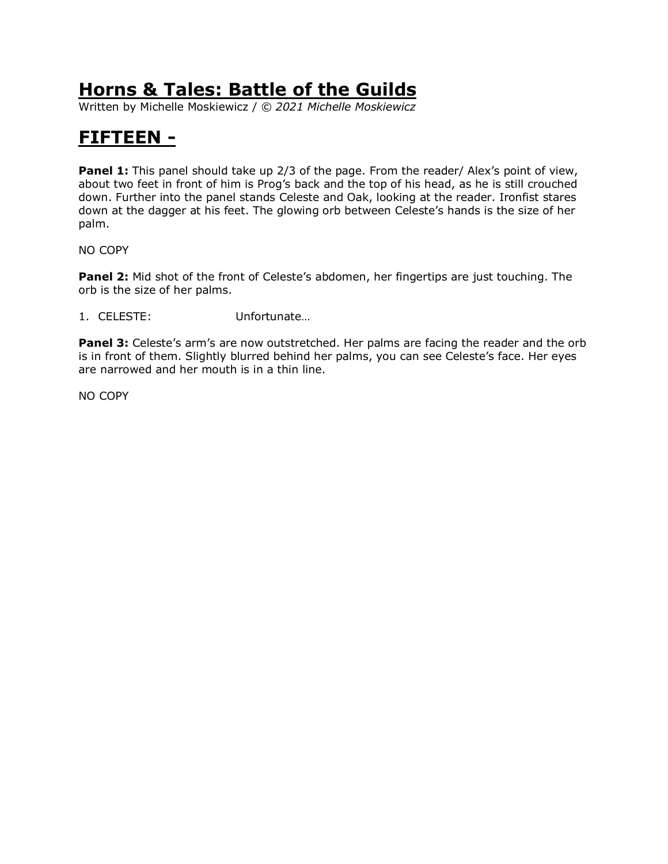Written by Michelle Moskiewicz / *© 2021 Michelle Moskiewicz*

# **FIFTEEN -**

**Panel 1:** This panel should take up 2/3 of the page. From the reader/ Alex's point of view, about two feet in front of him is Prog's back and the top of his head, as he is still crouched down. Further into the panel stands Celeste and Oak, looking at the reader. Ironfist stares down at the dagger at his feet. The glowing orb between Celeste's hands is the size of her palm.

NO COPY

**Panel 2:** Mid shot of the front of Celeste's abdomen, her fingertips are just touching. The orb is the size of her palms.

1. CELESTE: Unfortunate…

**Panel 3:** Celeste's arm's are now outstretched. Her palms are facing the reader and the orb is in front of them. Slightly blurred behind her palms, you can see Celeste's face. Her eyes are narrowed and her mouth is in a thin line.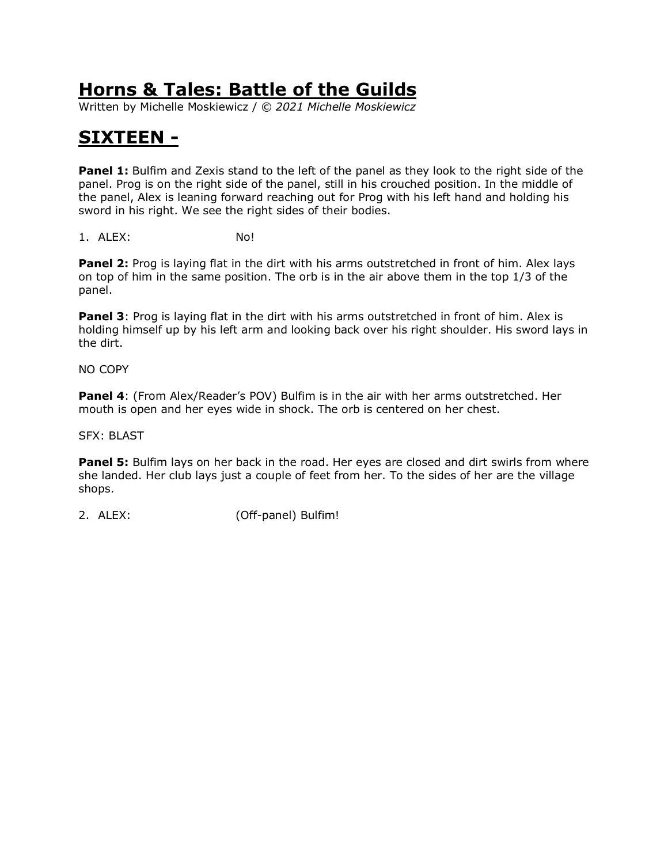Written by Michelle Moskiewicz / *© 2021 Michelle Moskiewicz*

# **SIXTEEN -**

**Panel 1:** Bulfim and Zexis stand to the left of the panel as they look to the right side of the panel. Prog is on the right side of the panel, still in his crouched position. In the middle of the panel, Alex is leaning forward reaching out for Prog with his left hand and holding his sword in his right. We see the right sides of their bodies.

1. ALEX: No!

**Panel 2:** Prog is laying flat in the dirt with his arms outstretched in front of him. Alex lays on top of him in the same position. The orb is in the air above them in the top 1/3 of the panel.

**Panel 3**: Prog is laying flat in the dirt with his arms outstretched in front of him. Alex is holding himself up by his left arm and looking back over his right shoulder. His sword lays in the dirt.

NO COPY

**Panel 4**: (From Alex/Reader's POV) Bulfim is in the air with her arms outstretched. Her mouth is open and her eyes wide in shock. The orb is centered on her chest.

SFX: BLAST

Panel 5: Bulfim lays on her back in the road. Her eyes are closed and dirt swirls from where she landed. Her club lays just a couple of feet from her. To the sides of her are the village shops.

2. ALEX: (Off-panel) Bulfim!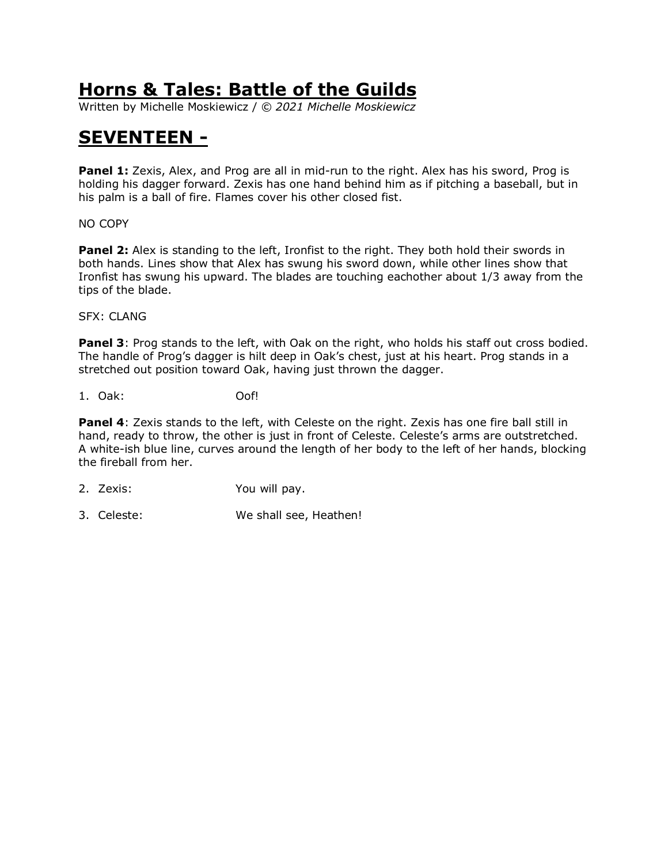Written by Michelle Moskiewicz / *© 2021 Michelle Moskiewicz*

#### **SEVENTEEN -**

**Panel 1:** Zexis, Alex, and Prog are all in mid-run to the right. Alex has his sword, Prog is holding his dagger forward. Zexis has one hand behind him as if pitching a baseball, but in his palm is a ball of fire. Flames cover his other closed fist.

NO COPY

**Panel 2:** Alex is standing to the left, Ironfist to the right. They both hold their swords in both hands. Lines show that Alex has swung his sword down, while other lines show that Ironfist has swung his upward. The blades are touching eachother about 1/3 away from the tips of the blade.

SFX: CLANG

**Panel 3**: Prog stands to the left, with Oak on the right, who holds his staff out cross bodied. The handle of Prog's dagger is hilt deep in Oak's chest, just at his heart. Prog stands in a stretched out position toward Oak, having just thrown the dagger.

1. Oak: Oof!

**Panel 4:** Zexis stands to the left, with Celeste on the right. Zexis has one fire ball still in hand, ready to throw, the other is just in front of Celeste. Celeste's arms are outstretched. A white-ish blue line, curves around the length of her body to the left of her hands, blocking the fireball from her.

- 2. Zexis: You will pay.
- 3. Celeste: We shall see, Heathen!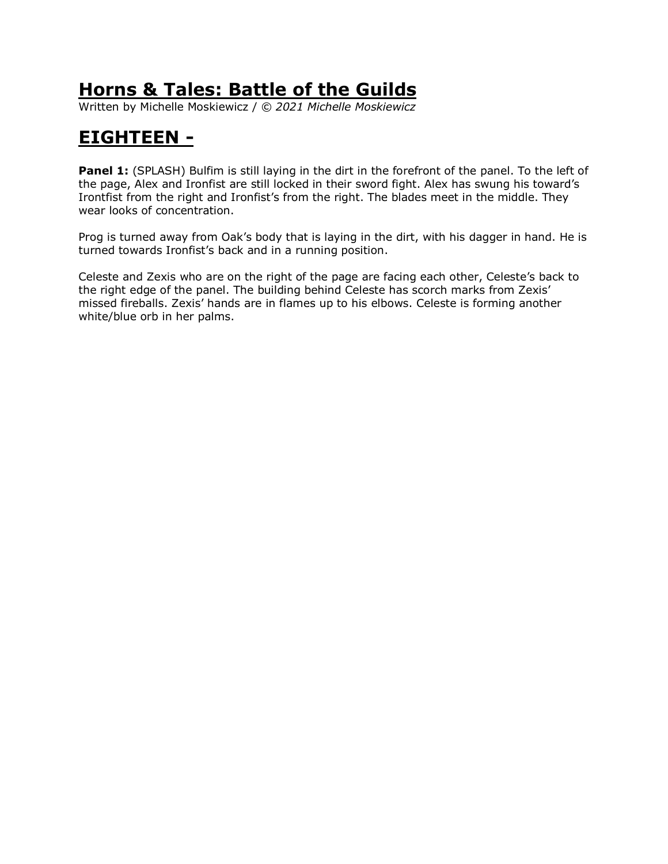Written by Michelle Moskiewicz / *© 2021 Michelle Moskiewicz*

# **EIGHTEEN -**

**Panel 1:** (SPLASH) Bulfim is still laying in the dirt in the forefront of the panel. To the left of the page, Alex and Ironfist are still locked in their sword fight. Alex has swung his toward's Irontfist from the right and Ironfist's from the right. The blades meet in the middle. They wear looks of concentration.

Prog is turned away from Oak's body that is laying in the dirt, with his dagger in hand. He is turned towards Ironfist's back and in a running position.

Celeste and Zexis who are on the right of the page are facing each other, Celeste's back to the right edge of the panel. The building behind Celeste has scorch marks from Zexis' missed fireballs. Zexis' hands are in flames up to his elbows. Celeste is forming another white/blue orb in her palms.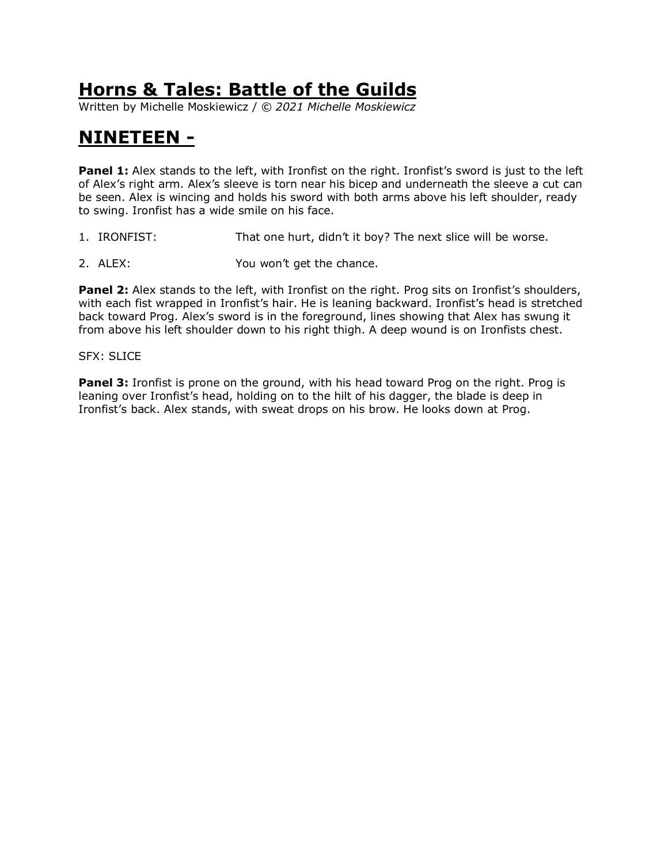Written by Michelle Moskiewicz / *© 2021 Michelle Moskiewicz*

### **NINETEEN -**

**Panel 1:** Alex stands to the left, with Ironfist on the right. Ironfist's sword is just to the left of Alex's right arm. Alex's sleeve is torn near his bicep and underneath the sleeve a cut can be seen. Alex is wincing and holds his sword with both arms above his left shoulder, ready to swing. Ironfist has a wide smile on his face.

- 1. IRONFIST: That one hurt, didn't it boy? The next slice will be worse.
- 2. ALEX: You won't get the chance.

**Panel 2:** Alex stands to the left, with Ironfist on the right. Prog sits on Ironfist's shoulders, with each fist wrapped in Ironfist's hair. He is leaning backward. Ironfist's head is stretched back toward Prog. Alex's sword is in the foreground, lines showing that Alex has swung it from above his left shoulder down to his right thigh. A deep wound is on Ironfists chest.

#### SFX: SLICE

**Panel 3:** Ironfist is prone on the ground, with his head toward Prog on the right. Prog is leaning over Ironfist's head, holding on to the hilt of his dagger, the blade is deep in Ironfist's back. Alex stands, with sweat drops on his brow. He looks down at Prog.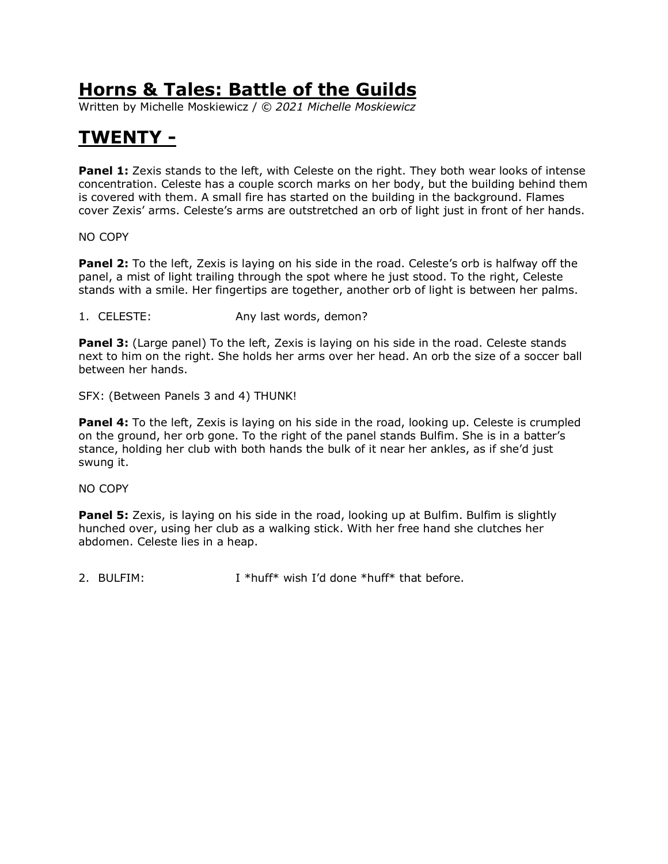Written by Michelle Moskiewicz / *© 2021 Michelle Moskiewicz*

# **TWENTY -**

**Panel 1:** Zexis stands to the left, with Celeste on the right. They both wear looks of intense concentration. Celeste has a couple scorch marks on her body, but the building behind them is covered with them. A small fire has started on the building in the background. Flames cover Zexis' arms. Celeste's arms are outstretched an orb of light just in front of her hands.

NO COPY

**Panel 2:** To the left, Zexis is laying on his side in the road. Celeste's orb is halfway off the panel, a mist of light trailing through the spot where he just stood. To the right, Celeste stands with a smile. Her fingertips are together, another orb of light is between her palms.

1. CELESTE: Any last words, demon?

**Panel 3:** (Large panel) To the left, Zexis is laying on his side in the road. Celeste stands next to him on the right. She holds her arms over her head. An orb the size of a soccer ball between her hands.

SFX: (Between Panels 3 and 4) THUNK!

**Panel 4:** To the left, Zexis is laying on his side in the road, looking up. Celeste is crumpled on the ground, her orb gone. To the right of the panel stands Bulfim. She is in a batter's stance, holding her club with both hands the bulk of it near her ankles, as if she'd just swung it.

NO COPY

**Panel 5:** Zexis, is laying on his side in the road, looking up at Bulfim. Bulfim is slightly hunched over, using her club as a walking stick. With her free hand she clutches her abdomen. Celeste lies in a heap.

2. BULFIM:  $I^*$ huff\* wish I'd done \*huff\* that before.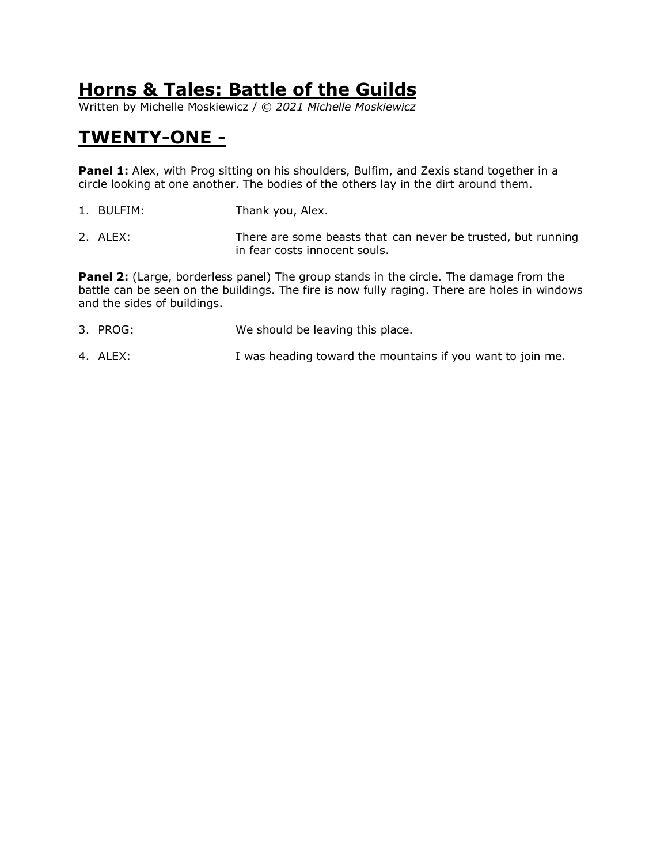Written by Michelle Moskiewicz / *© 2021 Michelle Moskiewicz*

## **TWENTY-ONE -**

**Panel 1:** Alex, with Prog sitting on his shoulders, Bulfim, and Zexis stand together in a circle looking at one another. The bodies of the others lay in the dirt around them.

- 1. BULFIM: Thank you, Alex.
- 2. ALEX: There are some beasts that can never be trusted, but running in fear costs innocent souls.

**Panel 2:** (Large, borderless panel) The group stands in the circle. The damage from the battle can be seen on the buildings. The fire is now fully raging. There are holes in windows and the sides of buildings.

- 3. PROG: We should be leaving this place.
- 4. ALEX: I was heading toward the mountains if you want to join me.